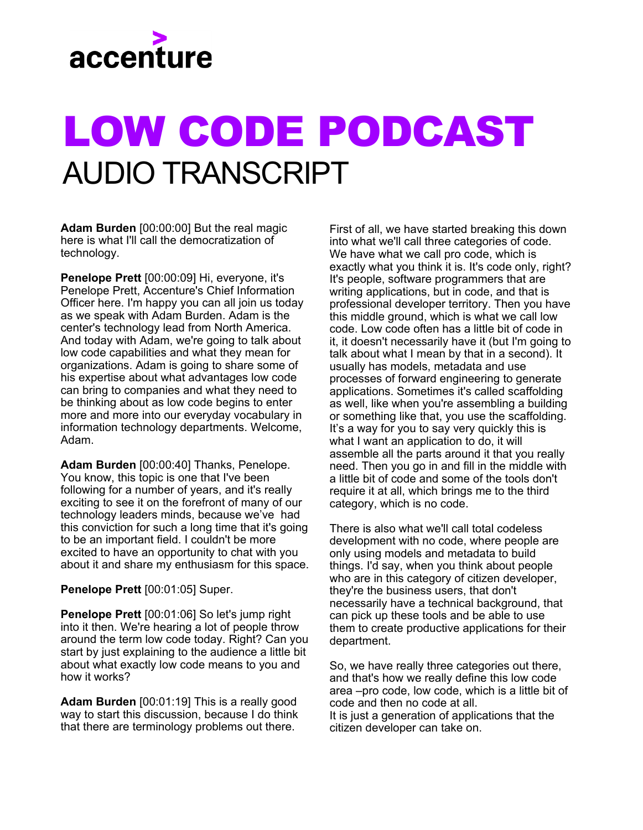

## LOW CODE PODCAST AUDIO TRANSCRIPT

**Adam Burden** [00:00:00] But the real magic here is what I'll call the democratization of technology.

**Penelope Prett** [00:00:09] Hi, everyone, it's Penelope Prett, Accenture's Chief Information Officer here. I'm happy you can all join us today as we speak with Adam Burden. Adam is the center's technology lead from North America. And today with Adam, we're going to talk about low code capabilities and what they mean for organizations. Adam is going to share some of his expertise about what advantages low code can bring to companies and what they need to be thinking about as low code begins to enter more and more into our everyday vocabulary in information technology departments. Welcome, Adam.

**Adam Burden** [00:00:40] Thanks, Penelope. You know, this topic is one that I've been following for a number of years, and it's really exciting to see it on the forefront of many of our technology leaders minds, because we've had this conviction for such a long time that it's going to be an important field. I couldn't be more excited to have an opportunity to chat with you about it and share my enthusiasm for this space.

**Penelope Prett** [00:01:05] Super.

**Penelope Prett** [00:01:06] So let's jump right into it then. We're hearing a lot of people throw around the term low code today. Right? Can you start by just explaining to the audience a little bit about what exactly low code means to you and how it works?

**Adam Burden** [00:01:19] This is a really good way to start this discussion, because I do think that there are terminology problems out there.

First of all, we have started breaking this down into what we'll call three categories of code. We have what we call pro code, which is exactly what you think it is. It's code only, right? It's people, software programmers that are writing applications, but in code, and that is professional developer territory. Then you have this middle ground, which is what we call low code. Low code often has a little bit of code in it, it doesn't necessarily have it (but I'm going to talk about what I mean by that in a second). It usually has models, metadata and use processes of forward engineering to generate applications. Sometimes it's called scaffolding as well, like when you're assembling a building or something like that, you use the scaffolding. It's a way for you to say very quickly this is what I want an application to do, it will assemble all the parts around it that you really need. Then you go in and fill in the middle with a little bit of code and some of the tools don't require it at all, which brings me to the third category, which is no code.

There is also what we'll call total codeless development with no code, where people are only using models and metadata to build things. I'd say, when you think about people who are in this category of citizen developer, they're the business users, that don't necessarily have a technical background, that can pick up these tools and be able to use them to create productive applications for their department.

So, we have really three categories out there, and that's how we really define this low code area –pro code, low code, which is a little bit of code and then no code at all. It is just a generation of applications that the citizen developer can take on.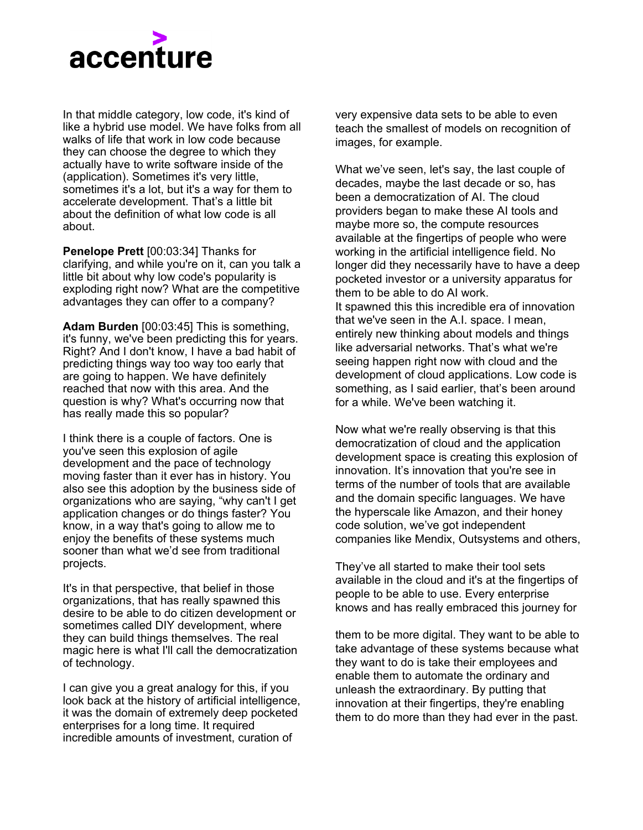

In that middle category, low code, it's kind of like a hybrid use model. We have folks from all walks of life that work in low code because they can choose the degree to which they actually have to write software inside of the (application). Sometimes it's very little, sometimes it's a lot, but it's a way for them to accelerate development. That's a little bit about the definition of what low code is all about.

**Penelope Prett** [00:03:34] Thanks for clarifying, and while you're on it, can you talk a little bit about why low code's popularity is exploding right now? What are the competitive advantages they can offer to a company?

**Adam Burden** [00:03:45] This is something, it's funny, we've been predicting this for years. Right? And I don't know, I have a bad habit of predicting things way too way too early that are going to happen. We have definitely reached that now with this area. And the question is why? What's occurring now that has really made this so popular?

I think there is a couple of factors. One is you've seen this explosion of agile development and the pace of technology moving faster than it ever has in history. You also see this adoption by the business side of organizations who are saying, "why can't I get application changes or do things faster? You know, in a way that's going to allow me to enjoy the benefits of these systems much sooner than what we'd see from traditional projects.

It's in that perspective, that belief in those organizations, that has really spawned this desire to be able to do citizen development or sometimes called DIY development, where they can build things themselves. The real magic here is what I'll call the democratization of technology.

I can give you a great analogy for this, if you look back at the history of artificial intelligence, it was the domain of extremely deep pocketed enterprises for a long time. It required incredible amounts of investment, curation of

very expensive data sets to be able to even teach the smallest of models on recognition of images, for example.

What we've seen, let's say, the last couple of decades, maybe the last decade or so, has been a democratization of AI. The cloud providers began to make these AI tools and maybe more so, the compute resources available at the fingertips of people who were working in the artificial intelligence field. No longer did they necessarily have to have a deep pocketed investor or a university apparatus for them to be able to do AI work. It spawned this this incredible era of innovation that we've seen in the A.I. space. I mean, entirely new thinking about models and things like adversarial networks. That's what we're seeing happen right now with cloud and the development of cloud applications. Low code is something, as I said earlier, that's been around for a while. We've been watching it.

Now what we're really observing is that this democratization of cloud and the application development space is creating this explosion of innovation. It's innovation that you're see in terms of the number of tools that are available and the domain specific languages. We have the hyperscale like Amazon, and their honey code solution, we've got independent companies like Mendix, Outsystems and others,

They've all started to make their tool sets available in the cloud and it's at the fingertips of people to be able to use. Every enterprise knows and has really embraced this journey for

them to be more digital. They want to be able to take advantage of these systems because what they want to do is take their employees and enable them to automate the ordinary and unleash the extraordinary. By putting that innovation at their fingertips, they're enabling them to do more than they had ever in the past.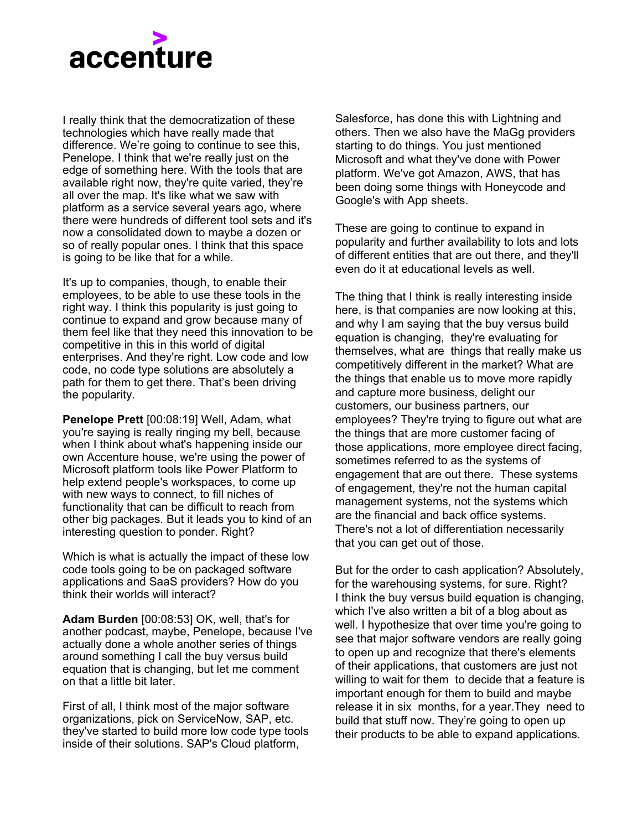

I really think that the democratization of these technologies which have really made that difference. We're going to continue to see this, Penelope. I think that we're really just on the edge of something here. With the tools that are available right now, they're quite varied, they're all over the map. It's like what we saw with platform as a service several years ago, where there were hundreds of different tool sets and it's now a consolidated down to maybe a dozen or so of really popular ones. I think that this space is going to be like that for a while.

It's up to companies, though, to enable their employees, to be able to use these tools in the right way. I think this popularity is just going to continue to expand and grow because many of them feel like that they need this innovation to be competitive in this in this world of digital enterprises. And they're right. Low code and low code, no code type solutions are absolutely a path for them to get there. That's been driving the popularity.

**Penelope Prett** [00:08:19] Well, Adam, what you're saying is really ringing my bell, because when I think about what's happening inside our own Accenture house, we're using the power of Microsoft platform tools like Power Platform to help extend people's workspaces, to come up with new ways to connect, to fill niches of functionality that can be difficult to reach from other big packages. But it leads you to kind of an interesting question to ponder. Right?

Which is what is actually the impact of these low code tools going to be on packaged software applications and SaaS providers? How do you think their worlds will interact?

**Adam Burden** [00:08:53] OK, well, that's for another podcast, maybe, Penelope, because I've actually done a whole another series of things around something I call the buy versus build equation that is changing, but let me comment on that a little bit later.

First of all, I think most of the major software organizations, pick on ServiceNow, SAP, etc. they've started to build more low code type tools inside of their solutions. SAP's Cloud platform,

Salesforce, has done this with Lightning and others. Then we also have the MaGg providers starting to do things. You just mentioned Microsoft and what they've done with Power platform. We've got Amazon, AWS, that has been doing some things with Honeycode and Google's with App sheets.

These are going to continue to expand in popularity and further availability to lots and lots of different entities that are out there, and they'll even do it at educational levels as well.

The thing that I think is really interesting inside here, is that companies are now looking at this, and why I am saying that the buy versus build equation is changing, they're evaluating for themselves, what are things that really make us competitively different in the market? What are the things that enable us to move more rapidly and capture more business, delight our customers, our business partners, our employees? They're trying to figure out what are the things that are more customer facing of those applications, more employee direct facing, sometimes referred to as the systems of engagement that are out there. These systems of engagement, they're not the human capital management systems, not the systems which are the financial and back office systems. There's not a lot of differentiation necessarily that you can get out of those.

But for the order to cash application? Absolutely, for the warehousing systems, for sure. Right? I think the buy versus build equation is changing, which I've also written a bit of a blog about as well. I hypothesize that over time you're going to see that major software vendors are really going to open up and recognize that there's elements of their applications, that customers are just not willing to wait for them to decide that a feature is important enough for them to build and maybe release it in six months, for a year.They need to build that stuff now. They're going to open up their products to be able to expand applications.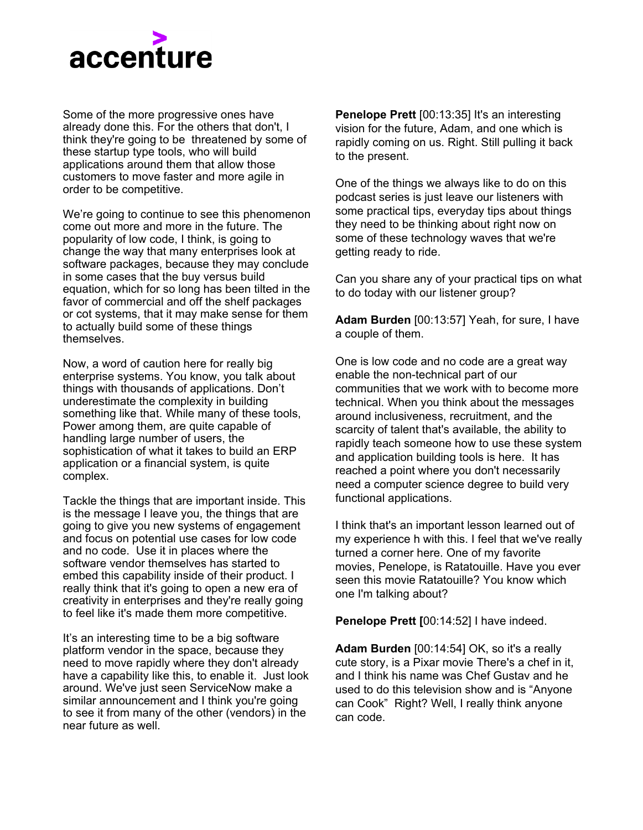

Some of the more progressive ones have already done this. For the others that don't, I think they're going to be threatened by some of these startup type tools, who will build applications around them that allow those customers to move faster and more agile in order to be competitive.

We're going to continue to see this phenomenon come out more and more in the future. The popularity of low code, I think, is going to change the way that many enterprises look at software packages, because they may conclude in some cases that the buy versus build equation, which for so long has been tilted in the favor of commercial and off the shelf packages or cot systems, that it may make sense for them to actually build some of these things themselves.

Now, a word of caution here for really big enterprise systems. You know, you talk about things with thousands of applications. Don't underestimate the complexity in building something like that. While many of these tools, Power among them, are quite capable of handling large number of users, the sophistication of what it takes to build an ERP application or a financial system, is quite complex.

Tackle the things that are important inside. This is the message I leave you, the things that are going to give you new systems of engagement and focus on potential use cases for low code and no code. Use it in places where the software vendor themselves has started to embed this capability inside of their product. I really think that it's going to open a new era of creativity in enterprises and they're really going to feel like it's made them more competitive.

It's an interesting time to be a big software platform vendor in the space, because they need to move rapidly where they don't already have a capability like this, to enable it. Just look around. We've just seen ServiceNow make a similar announcement and I think you're going to see it from many of the other (vendors) in the near future as well.

**Penelope Prett** [00:13:35] It's an interesting vision for the future, Adam, and one which is rapidly coming on us. Right. Still pulling it back to the present.

One of the things we always like to do on this podcast series is just leave our listeners with some practical tips, everyday tips about things they need to be thinking about right now on some of these technology waves that we're getting ready to ride.

Can you share any of your practical tips on what to do today with our listener group?

**Adam Burden** [00:13:57] Yeah, for sure, I have a couple of them.

One is low code and no code are a great way enable the non-technical part of our communities that we work with to become more technical. When you think about the messages around inclusiveness, recruitment, and the scarcity of talent that's available, the ability to rapidly teach someone how to use these system and application building tools is here. It has reached a point where you don't necessarily need a computer science degree to build very functional applications.

I think that's an important lesson learned out of my experience h with this. I feel that we've really turned a corner here. One of my favorite movies, Penelope, is Ratatouille. Have you ever seen this movie Ratatouille? You know which one I'm talking about?

**Penelope Prett [**00:14:52] I have indeed.

**Adam Burden** [00:14:54] OK, so it's a really cute story, is a Pixar movie There's a chef in it, and I think his name was Chef Gustav and he used to do this television show and is "Anyone can Cook" Right? Well, I really think anyone can code.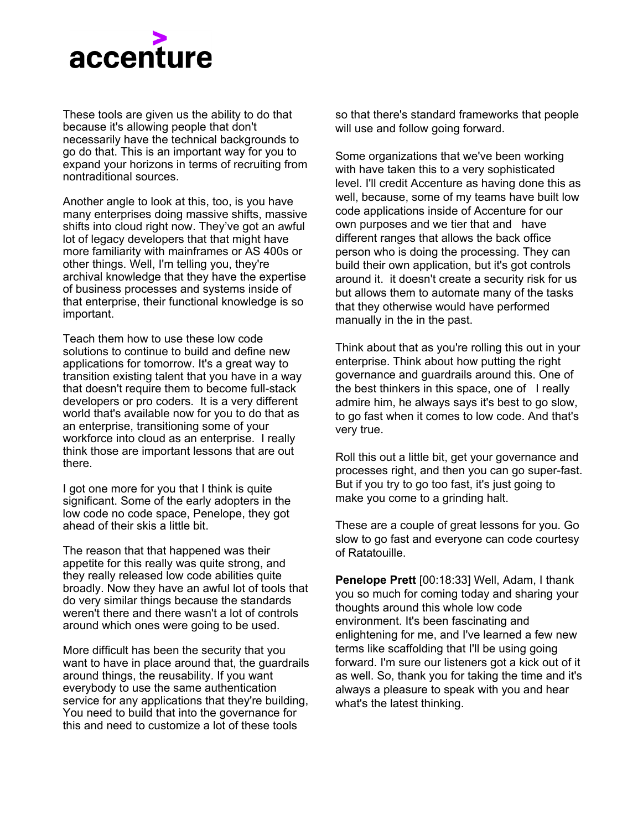

These tools are given us the ability to do that because it's allowing people that don't necessarily have the technical backgrounds to go do that. This is an important way for you to expand your horizons in terms of recruiting from nontraditional sources.

Another angle to look at this, too, is you have many enterprises doing massive shifts, massive shifts into cloud right now. They've got an awful lot of legacy developers that that might have more familiarity with mainframes or AS 400s or other things. Well, I'm telling you, they're archival knowledge that they have the expertise of business processes and systems inside of that enterprise, their functional knowledge is so important.

Teach them how to use these low code solutions to continue to build and define new applications for tomorrow. It's a great way to transition existing talent that you have in a way that doesn't require them to become full-stack developers or pro coders. It is a very different world that's available now for you to do that as an enterprise, transitioning some of your workforce into cloud as an enterprise. I really think those are important lessons that are out there.

I got one more for you that I think is quite significant. Some of the early adopters in the low code no code space, Penelope, they got ahead of their skis a little bit.

The reason that that happened was their appetite for this really was quite strong, and they really released low code abilities quite broadly. Now they have an awful lot of tools that do very similar things because the standards weren't there and there wasn't a lot of controls around which ones were going to be used.

More difficult has been the security that you want to have in place around that, the guardrails around things, the reusability. If you want everybody to use the same authentication service for any applications that they're building, You need to build that into the governance for this and need to customize a lot of these tools

so that there's standard frameworks that people will use and follow going forward.

Some organizations that we've been working with have taken this to a very sophisticated level. I'll credit Accenture as having done this as well, because, some of my teams have built low code applications inside of Accenture for our own purposes and we tier that and have different ranges that allows the back office person who is doing the processing. They can build their own application, but it's got controls around it. it doesn't create a security risk for us but allows them to automate many of the tasks that they otherwise would have performed manually in the in the past.

Think about that as you're rolling this out in your enterprise. Think about how putting the right governance and guardrails around this. One of the best thinkers in this space, one of I really admire him, he always says it's best to go slow, to go fast when it comes to low code. And that's very true.

Roll this out a little bit, get your governance and processes right, and then you can go super-fast. But if you try to go too fast, it's just going to make you come to a grinding halt.

These are a couple of great lessons for you. Go slow to go fast and everyone can code courtesy of Ratatouille.

**Penelope Prett** [00:18:33] Well, Adam, I thank you so much for coming today and sharing your thoughts around this whole low code environment. It's been fascinating and enlightening for me, and I've learned a few new terms like scaffolding that I'll be using going forward. I'm sure our listeners got a kick out of it as well. So, thank you for taking the time and it's always a pleasure to speak with you and hear what's the latest thinking.